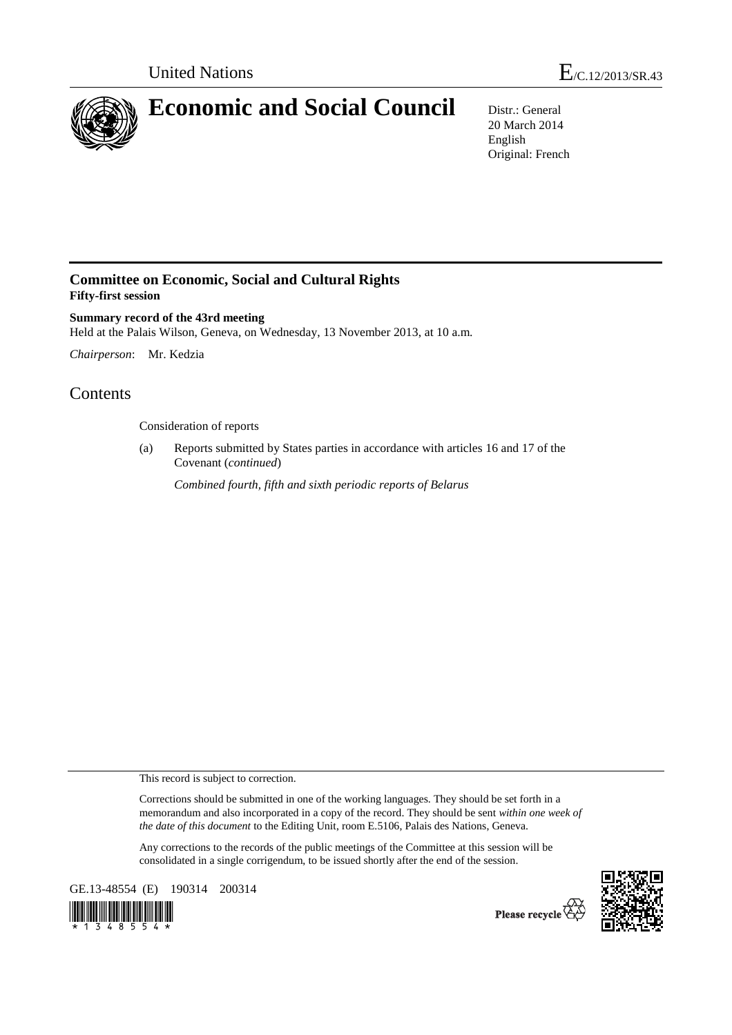

# **Economic and Social Council** Distr.: General

20 March 2014 English Original: French

## **Committee on Economic, Social and Cultural Rights Fifty-first session**

**Summary record of the 43rd meeting**  Held at the Palais Wilson, Geneva, on Wednesday, 13 November 2013, at 10 a.m.

*Chairperson*: Mr. Kedzia

## **Contents**

Consideration of reports

(a) Reports submitted by States parties in accordance with articles 16 and 17 of the Covenant (*continued*)

*Combined fourth, fifth and sixth periodic reports of Belarus* 

This record is subject to correction.

Corrections should be submitted in one of the working languages. They should be set forth in a memorandum and also incorporated in a copy of the record. They should be sent *within one week of the date of this document* to the Editing Unit, room E.5106, Palais des Nations, Geneva.

Any corrections to the records of the public meetings of the Committee at this session will be consolidated in a single corrigendum, to be issued shortly after the end of the session.

GE.13-48554 (E) 190314 200314



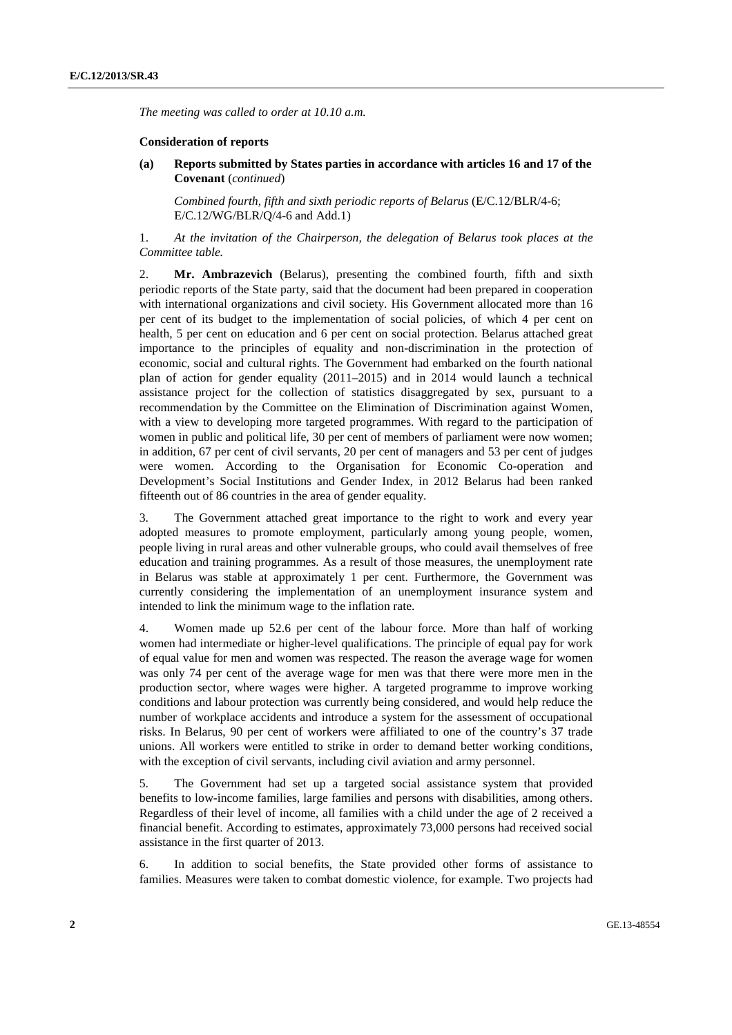*The meeting was called to order at 10.10 a.m.* 

#### **Consideration of reports**

**(a) Reports submitted by States parties in accordance with articles 16 and 17 of the Covenant** (*continued*)

*Combined fourth, fifth and sixth periodic reports of Belarus* (E/C.12/BLR/4-6; E/C.12/WG/BLR/Q/4-6 and Add.1)

1. *At the invitation of the Chairperson, the delegation of Belarus took places at the Committee table.*

2. **Mr. Ambrazevich** (Belarus), presenting the combined fourth, fifth and sixth periodic reports of the State party, said that the document had been prepared in cooperation with international organizations and civil society. His Government allocated more than 16 per cent of its budget to the implementation of social policies, of which 4 per cent on health, 5 per cent on education and 6 per cent on social protection. Belarus attached great importance to the principles of equality and non-discrimination in the protection of economic, social and cultural rights. The Government had embarked on the fourth national plan of action for gender equality (2011–2015) and in 2014 would launch a technical assistance project for the collection of statistics disaggregated by sex, pursuant to a recommendation by the Committee on the Elimination of Discrimination against Women, with a view to developing more targeted programmes. With regard to the participation of women in public and political life, 30 per cent of members of parliament were now women; in addition, 67 per cent of civil servants, 20 per cent of managers and 53 per cent of judges were women. According to the Organisation for Economic Co-operation and Development's Social Institutions and Gender Index, in 2012 Belarus had been ranked fifteenth out of 86 countries in the area of gender equality.

3. The Government attached great importance to the right to work and every year adopted measures to promote employment, particularly among young people, women, people living in rural areas and other vulnerable groups, who could avail themselves of free education and training programmes. As a result of those measures, the unemployment rate in Belarus was stable at approximately 1 per cent. Furthermore, the Government was currently considering the implementation of an unemployment insurance system and intended to link the minimum wage to the inflation rate.

4. Women made up 52.6 per cent of the labour force. More than half of working women had intermediate or higher-level qualifications. The principle of equal pay for work of equal value for men and women was respected. The reason the average wage for women was only 74 per cent of the average wage for men was that there were more men in the production sector, where wages were higher. A targeted programme to improve working conditions and labour protection was currently being considered, and would help reduce the number of workplace accidents and introduce a system for the assessment of occupational risks. In Belarus, 90 per cent of workers were affiliated to one of the country's 37 trade unions. All workers were entitled to strike in order to demand better working conditions, with the exception of civil servants, including civil aviation and army personnel.

5. The Government had set up a targeted social assistance system that provided benefits to low-income families, large families and persons with disabilities, among others. Regardless of their level of income, all families with a child under the age of 2 received a financial benefit. According to estimates, approximately 73,000 persons had received social assistance in the first quarter of 2013.

6. In addition to social benefits, the State provided other forms of assistance to families. Measures were taken to combat domestic violence, for example. Two projects had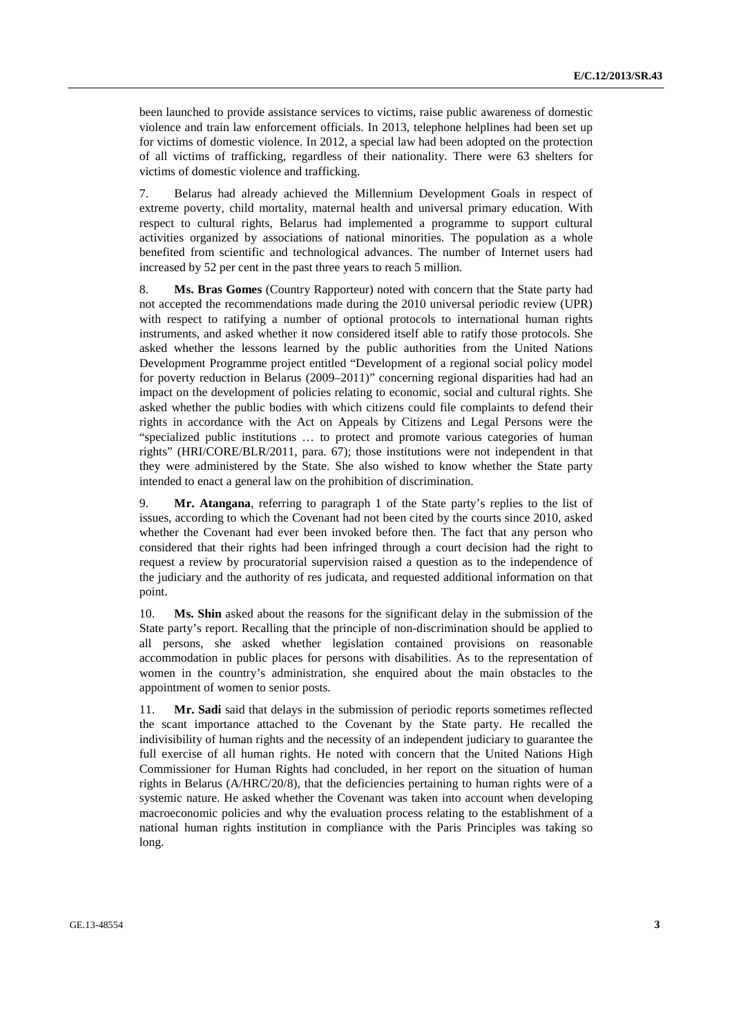been launched to provide assistance services to victims, raise public awareness of domestic violence and train law enforcement officials. In 2013, telephone helplines had been set up for victims of domestic violence. In 2012, a special law had been adopted on the protection of all victims of trafficking, regardless of their nationality. There were 63 shelters for victims of domestic violence and trafficking.

7. Belarus had already achieved the Millennium Development Goals in respect of extreme poverty, child mortality, maternal health and universal primary education. With respect to cultural rights, Belarus had implemented a programme to support cultural activities organized by associations of national minorities. The population as a whole benefited from scientific and technological advances. The number of Internet users had increased by 52 per cent in the past three years to reach 5 million.

8. **Ms. Bras Gomes** (Country Rapporteur) noted with concern that the State party had not accepted the recommendations made during the 2010 universal periodic review (UPR) with respect to ratifying a number of optional protocols to international human rights instruments, and asked whether it now considered itself able to ratify those protocols. She asked whether the lessons learned by the public authorities from the United Nations Development Programme project entitled "Development of a regional social policy model for poverty reduction in Belarus (2009–2011)" concerning regional disparities had had an impact on the development of policies relating to economic, social and cultural rights. She asked whether the public bodies with which citizens could file complaints to defend their rights in accordance with the Act on Appeals by Citizens and Legal Persons were the "specialized public institutions … to protect and promote various categories of human rights" (HRI/CORE/BLR/2011, para. 67); those institutions were not independent in that they were administered by the State. She also wished to know whether the State party intended to enact a general law on the prohibition of discrimination.

9. **Mr. Atangana**, referring to paragraph 1 of the State party's replies to the list of issues, according to which the Covenant had not been cited by the courts since 2010, asked whether the Covenant had ever been invoked before then. The fact that any person who considered that their rights had been infringed through a court decision had the right to request a review by procuratorial supervision raised a question as to the independence of the judiciary and the authority of res judicata, and requested additional information on that point.

10. **Ms. Shin** asked about the reasons for the significant delay in the submission of the State party's report. Recalling that the principle of non-discrimination should be applied to all persons, she asked whether legislation contained provisions on reasonable accommodation in public places for persons with disabilities. As to the representation of women in the country's administration, she enquired about the main obstacles to the appointment of women to senior posts.

11. **Mr. Sadi** said that delays in the submission of periodic reports sometimes reflected the scant importance attached to the Covenant by the State party. He recalled the indivisibility of human rights and the necessity of an independent judiciary to guarantee the full exercise of all human rights. He noted with concern that the United Nations High Commissioner for Human Rights had concluded, in her report on the situation of human rights in Belarus (A/HRC/20/8), that the deficiencies pertaining to human rights were of a systemic nature. He asked whether the Covenant was taken into account when developing macroeconomic policies and why the evaluation process relating to the establishment of a national human rights institution in compliance with the Paris Principles was taking so long.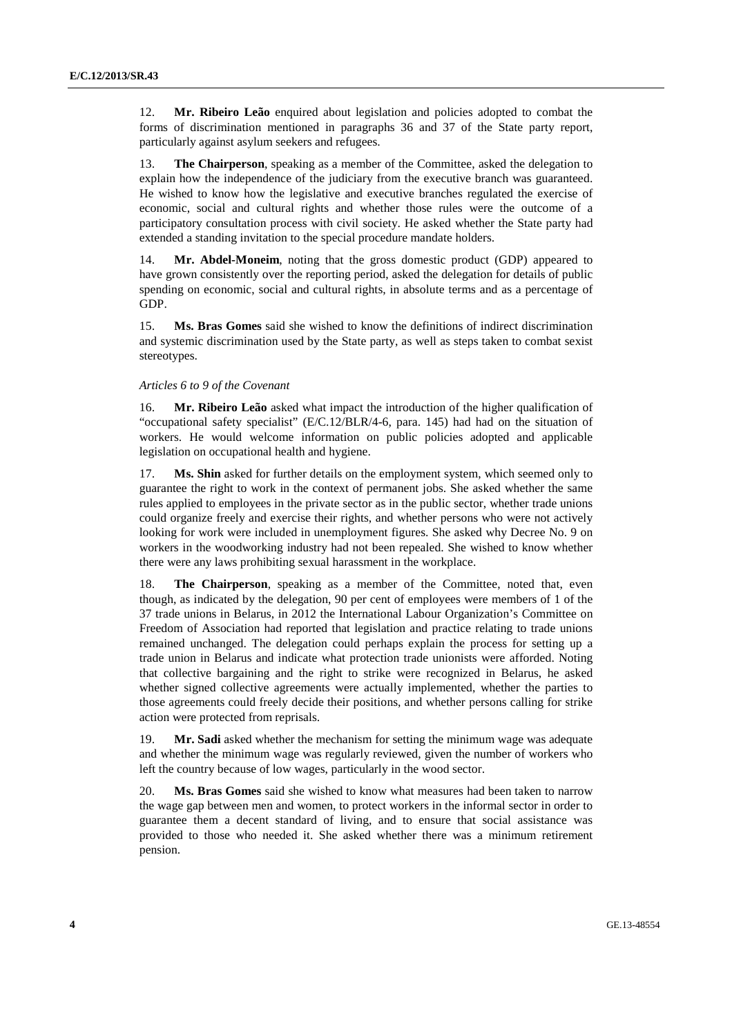12. **Mr. Ribeiro Leão** enquired about legislation and policies adopted to combat the forms of discrimination mentioned in paragraphs 36 and 37 of the State party report, particularly against asylum seekers and refugees.

13. **The Chairperson**, speaking as a member of the Committee, asked the delegation to explain how the independence of the judiciary from the executive branch was guaranteed. He wished to know how the legislative and executive branches regulated the exercise of economic, social and cultural rights and whether those rules were the outcome of a participatory consultation process with civil society. He asked whether the State party had extended a standing invitation to the special procedure mandate holders.

14. **Mr. Abdel-Moneim**, noting that the gross domestic product (GDP) appeared to have grown consistently over the reporting period, asked the delegation for details of public spending on economic, social and cultural rights, in absolute terms and as a percentage of GDP.

15. **Ms. Bras Gomes** said she wished to know the definitions of indirect discrimination and systemic discrimination used by the State party, as well as steps taken to combat sexist stereotypes.

#### *Articles 6 to 9 of the Covenant*

16. **Mr. Ribeiro Leão** asked what impact the introduction of the higher qualification of "occupational safety specialist" (E/C.12/BLR/4-6, para. 145) had had on the situation of workers. He would welcome information on public policies adopted and applicable legislation on occupational health and hygiene.

17. **Ms. Shin** asked for further details on the employment system, which seemed only to guarantee the right to work in the context of permanent jobs. She asked whether the same rules applied to employees in the private sector as in the public sector, whether trade unions could organize freely and exercise their rights, and whether persons who were not actively looking for work were included in unemployment figures. She asked why Decree No. 9 on workers in the woodworking industry had not been repealed. She wished to know whether there were any laws prohibiting sexual harassment in the workplace.

18. **The Chairperson**, speaking as a member of the Committee, noted that, even though, as indicated by the delegation, 90 per cent of employees were members of 1 of the 37 trade unions in Belarus, in 2012 the International Labour Organization's Committee on Freedom of Association had reported that legislation and practice relating to trade unions remained unchanged. The delegation could perhaps explain the process for setting up a trade union in Belarus and indicate what protection trade unionists were afforded. Noting that collective bargaining and the right to strike were recognized in Belarus, he asked whether signed collective agreements were actually implemented, whether the parties to those agreements could freely decide their positions, and whether persons calling for strike action were protected from reprisals.

19. **Mr. Sadi** asked whether the mechanism for setting the minimum wage was adequate and whether the minimum wage was regularly reviewed, given the number of workers who left the country because of low wages, particularly in the wood sector.

20. **Ms. Bras Gomes** said she wished to know what measures had been taken to narrow the wage gap between men and women, to protect workers in the informal sector in order to guarantee them a decent standard of living, and to ensure that social assistance was provided to those who needed it. She asked whether there was a minimum retirement pension.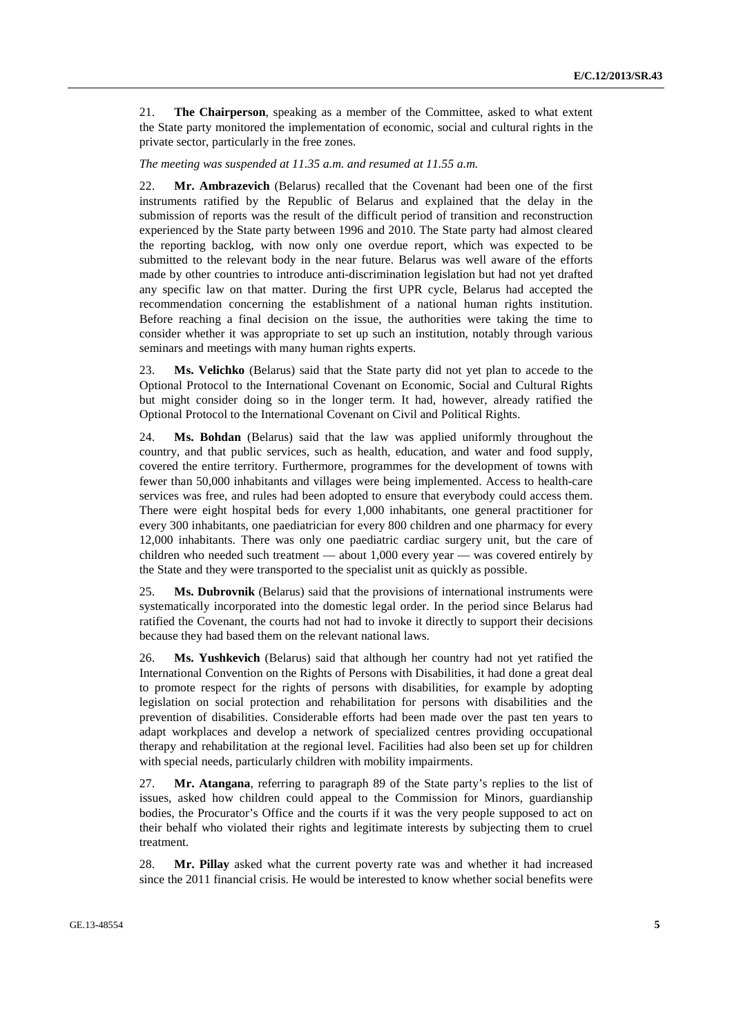21. **The Chairperson**, speaking as a member of the Committee, asked to what extent the State party monitored the implementation of economic, social and cultural rights in the private sector, particularly in the free zones.

*The meeting was suspended at 11.35 a.m. and resumed at 11.55 a.m.* 

22. **Mr. Ambrazevich** (Belarus) recalled that the Covenant had been one of the first instruments ratified by the Republic of Belarus and explained that the delay in the submission of reports was the result of the difficult period of transition and reconstruction experienced by the State party between 1996 and 2010. The State party had almost cleared the reporting backlog, with now only one overdue report, which was expected to be submitted to the relevant body in the near future. Belarus was well aware of the efforts made by other countries to introduce anti-discrimination legislation but had not yet drafted any specific law on that matter. During the first UPR cycle, Belarus had accepted the recommendation concerning the establishment of a national human rights institution. Before reaching a final decision on the issue, the authorities were taking the time to consider whether it was appropriate to set up such an institution, notably through various seminars and meetings with many human rights experts.

23. **Ms. Velichko** (Belarus) said that the State party did not yet plan to accede to the Optional Protocol to the International Covenant on Economic, Social and Cultural Rights but might consider doing so in the longer term. It had, however, already ratified the Optional Protocol to the International Covenant on Civil and Political Rights.

24. **Ms. Bohdan** (Belarus) said that the law was applied uniformly throughout the country, and that public services, such as health, education, and water and food supply, covered the entire territory. Furthermore, programmes for the development of towns with fewer than 50,000 inhabitants and villages were being implemented. Access to health-care services was free, and rules had been adopted to ensure that everybody could access them. There were eight hospital beds for every 1,000 inhabitants, one general practitioner for every 300 inhabitants, one paediatrician for every 800 children and one pharmacy for every 12,000 inhabitants. There was only one paediatric cardiac surgery unit, but the care of children who needed such treatment — about 1,000 every year — was covered entirely by the State and they were transported to the specialist unit as quickly as possible.

25. **Ms. Dubrovnik** (Belarus) said that the provisions of international instruments were systematically incorporated into the domestic legal order. In the period since Belarus had ratified the Covenant, the courts had not had to invoke it directly to support their decisions because they had based them on the relevant national laws.

26. **Ms. Yushkevich** (Belarus) said that although her country had not yet ratified the International Convention on the Rights of Persons with Disabilities, it had done a great deal to promote respect for the rights of persons with disabilities, for example by adopting legislation on social protection and rehabilitation for persons with disabilities and the prevention of disabilities. Considerable efforts had been made over the past ten years to adapt workplaces and develop a network of specialized centres providing occupational therapy and rehabilitation at the regional level. Facilities had also been set up for children with special needs, particularly children with mobility impairments.

27. **Mr. Atangana**, referring to paragraph 89 of the State party's replies to the list of issues, asked how children could appeal to the Commission for Minors, guardianship bodies, the Procurator's Office and the courts if it was the very people supposed to act on their behalf who violated their rights and legitimate interests by subjecting them to cruel treatment.

28. **Mr. Pillay** asked what the current poverty rate was and whether it had increased since the 2011 financial crisis. He would be interested to know whether social benefits were